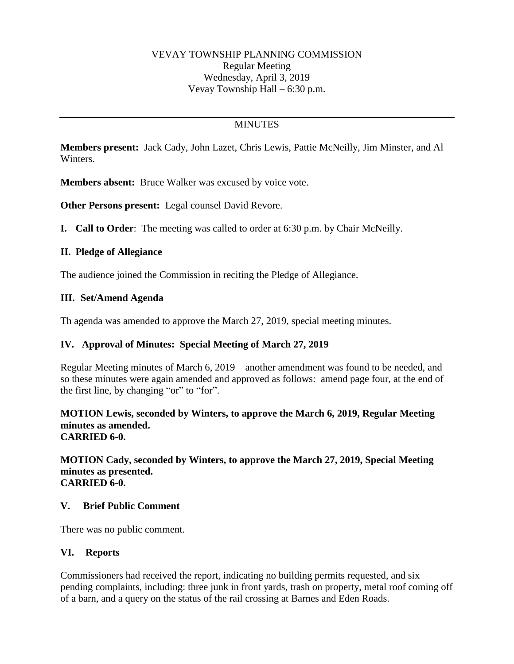# **MINUTES**

**Members present:** Jack Cady, John Lazet, Chris Lewis, Pattie McNeilly, Jim Minster, and Al Winters.

**Members absent:** Bruce Walker was excused by voice vote.

**Other Persons present:** Legal counsel David Revore.

**I. Call to Order**: The meeting was called to order at 6:30 p.m. by Chair McNeilly.

### **II. Pledge of Allegiance**

The audience joined the Commission in reciting the Pledge of Allegiance.

### **III. Set/Amend Agenda**

Th agenda was amended to approve the March 27, 2019, special meeting minutes.

## **IV. Approval of Minutes: Special Meeting of March 27, 2019**

Regular Meeting minutes of March 6, 2019 – another amendment was found to be needed, and so these minutes were again amended and approved as follows: amend page four, at the end of the first line, by changing "or" to "for".

#### **MOTION Lewis, seconded by Winters, to approve the March 6, 2019, Regular Meeting minutes as amended. CARRIED 6-0.**

**MOTION Cady, seconded by Winters, to approve the March 27, 2019, Special Meeting minutes as presented. CARRIED 6-0.**

#### **V. Brief Public Comment**

There was no public comment.

#### **VI. Reports**

Commissioners had received the report, indicating no building permits requested, and six pending complaints, including: three junk in front yards, trash on property, metal roof coming off of a barn, and a query on the status of the rail crossing at Barnes and Eden Roads.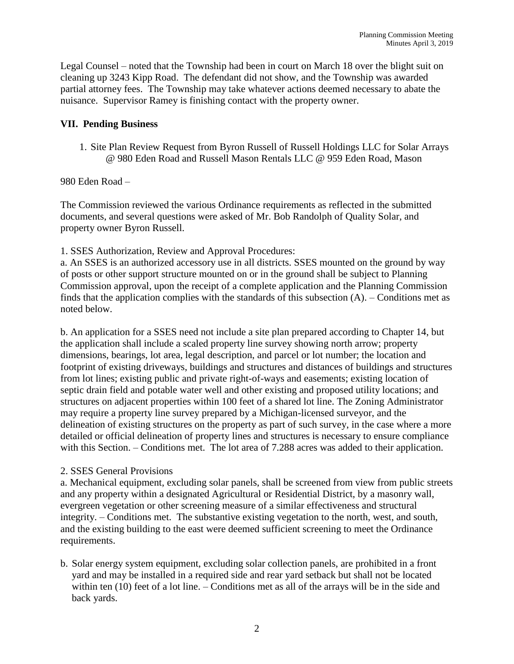Legal Counsel – noted that the Township had been in court on March 18 over the blight suit on cleaning up 3243 Kipp Road. The defendant did not show, and the Township was awarded partial attorney fees. The Township may take whatever actions deemed necessary to abate the nuisance. Supervisor Ramey is finishing contact with the property owner.

### **VII. Pending Business**

1. Site Plan Review Request from Byron Russell of Russell Holdings LLC for Solar Arrays @ 980 Eden Road and Russell Mason Rentals LLC @ 959 Eden Road, Mason

980 Eden Road –

The Commission reviewed the various Ordinance requirements as reflected in the submitted documents, and several questions were asked of Mr. Bob Randolph of Quality Solar, and property owner Byron Russell.

1. SSES Authorization, Review and Approval Procedures:

a. An SSES is an authorized accessory use in all districts. SSES mounted on the ground by way of posts or other support structure mounted on or in the ground shall be subject to Planning Commission approval, upon the receipt of a complete application and the Planning Commission finds that the application complies with the standards of this subsection  $(A)$ . – Conditions met as noted below.

b. An application for a SSES need not include a site plan prepared according to Chapter 14, but the application shall include a scaled property line survey showing north arrow; property dimensions, bearings, lot area, legal description, and parcel or lot number; the location and footprint of existing driveways, buildings and structures and distances of buildings and structures from lot lines; existing public and private right-of-ways and easements; existing location of septic drain field and potable water well and other existing and proposed utility locations; and structures on adjacent properties within 100 feet of a shared lot line. The Zoning Administrator may require a property line survey prepared by a Michigan-licensed surveyor, and the delineation of existing structures on the property as part of such survey, in the case where a more detailed or official delineation of property lines and structures is necessary to ensure compliance with this Section. – Conditions met. The lot area of 7.288 acres was added to their application.

## 2. SSES General Provisions

a. Mechanical equipment, excluding solar panels, shall be screened from view from public streets and any property within a designated Agricultural or Residential District, by a masonry wall, evergreen vegetation or other screening measure of a similar effectiveness and structural integrity. – Conditions met. The substantive existing vegetation to the north, west, and south, and the existing building to the east were deemed sufficient screening to meet the Ordinance requirements.

b. Solar energy system equipment, excluding solar collection panels, are prohibited in a front yard and may be installed in a required side and rear yard setback but shall not be located within ten (10) feet of a lot line. – Conditions met as all of the arrays will be in the side and back yards.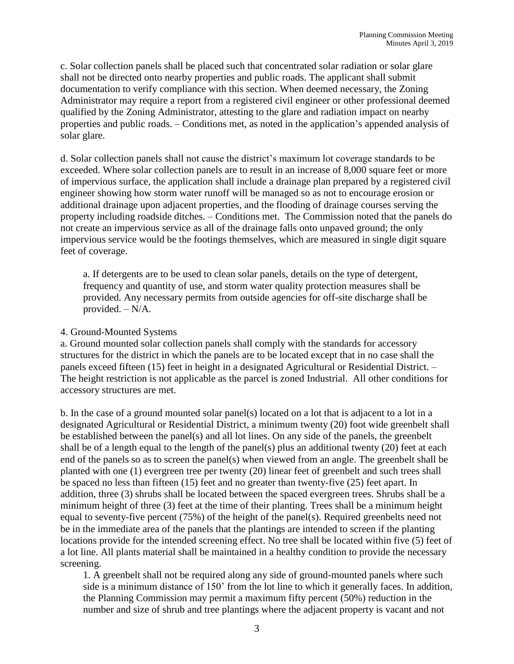c. Solar collection panels shall be placed such that concentrated solar radiation or solar glare shall not be directed onto nearby properties and public roads. The applicant shall submit documentation to verify compliance with this section. When deemed necessary, the Zoning Administrator may require a report from a registered civil engineer or other professional deemed qualified by the Zoning Administrator, attesting to the glare and radiation impact on nearby properties and public roads. – Conditions met, as noted in the application's appended analysis of solar glare.

d. Solar collection panels shall not cause the district's maximum lot coverage standards to be exceeded. Where solar collection panels are to result in an increase of 8,000 square feet or more of impervious surface, the application shall include a drainage plan prepared by a registered civil engineer showing how storm water runoff will be managed so as not to encourage erosion or additional drainage upon adjacent properties, and the flooding of drainage courses serving the property including roadside ditches. – Conditions met. The Commission noted that the panels do not create an impervious service as all of the drainage falls onto unpaved ground; the only impervious service would be the footings themselves, which are measured in single digit square feet of coverage.

a. If detergents are to be used to clean solar panels, details on the type of detergent, frequency and quantity of use, and storm water quality protection measures shall be provided. Any necessary permits from outside agencies for off-site discharge shall be provided. – N/A.

#### 4. Ground-Mounted Systems

a. Ground mounted solar collection panels shall comply with the standards for accessory structures for the district in which the panels are to be located except that in no case shall the panels exceed fifteen (15) feet in height in a designated Agricultural or Residential District. – The height restriction is not applicable as the parcel is zoned Industrial. All other conditions for accessory structures are met.

b. In the case of a ground mounted solar panel(s) located on a lot that is adjacent to a lot in a designated Agricultural or Residential District, a minimum twenty (20) foot wide greenbelt shall be established between the panel(s) and all lot lines. On any side of the panels, the greenbelt shall be of a length equal to the length of the panel(s) plus an additional twenty (20) feet at each end of the panels so as to screen the panel(s) when viewed from an angle. The greenbelt shall be planted with one (1) evergreen tree per twenty (20) linear feet of greenbelt and such trees shall be spaced no less than fifteen (15) feet and no greater than twenty-five (25) feet apart. In addition, three (3) shrubs shall be located between the spaced evergreen trees. Shrubs shall be a minimum height of three (3) feet at the time of their planting. Trees shall be a minimum height equal to seventy-five percent (75%) of the height of the panel(s). Required greenbelts need not be in the immediate area of the panels that the plantings are intended to screen if the planting locations provide for the intended screening effect. No tree shall be located within five (5) feet of a lot line. All plants material shall be maintained in a healthy condition to provide the necessary screening.

1. A greenbelt shall not be required along any side of ground-mounted panels where such side is a minimum distance of 150' from the lot line to which it generally faces. In addition, the Planning Commission may permit a maximum fifty percent (50%) reduction in the number and size of shrub and tree plantings where the adjacent property is vacant and not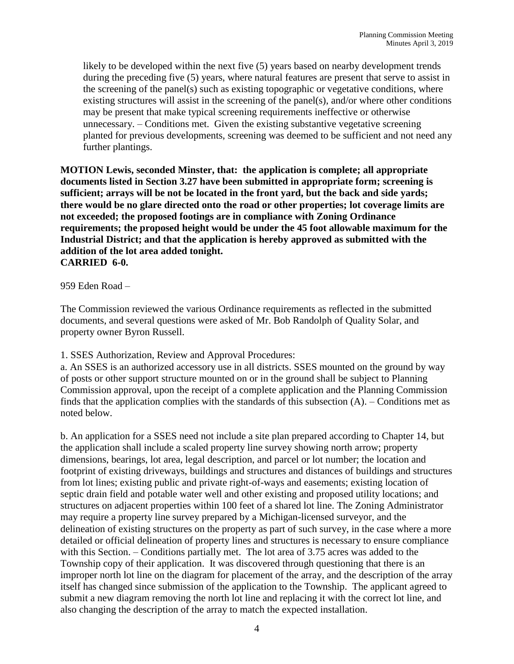likely to be developed within the next five (5) years based on nearby development trends during the preceding five (5) years, where natural features are present that serve to assist in the screening of the panel(s) such as existing topographic or vegetative conditions, where existing structures will assist in the screening of the panel(s), and/or where other conditions may be present that make typical screening requirements ineffective or otherwise unnecessary. – Conditions met. Given the existing substantive vegetative screening planted for previous developments, screening was deemed to be sufficient and not need any further plantings.

**MOTION Lewis, seconded Minster, that: the application is complete; all appropriate documents listed in Section 3.27 have been submitted in appropriate form; screening is sufficient; arrays will be not be located in the front yard, but the back and side yards; there would be no glare directed onto the road or other properties; lot coverage limits are not exceeded; the proposed footings are in compliance with Zoning Ordinance requirements; the proposed height would be under the 45 foot allowable maximum for the Industrial District; and that the application is hereby approved as submitted with the addition of the lot area added tonight. CARRIED 6-0.**

959 Eden Road –

The Commission reviewed the various Ordinance requirements as reflected in the submitted documents, and several questions were asked of Mr. Bob Randolph of Quality Solar, and property owner Byron Russell.

#### 1. SSES Authorization, Review and Approval Procedures:

a. An SSES is an authorized accessory use in all districts. SSES mounted on the ground by way of posts or other support structure mounted on or in the ground shall be subject to Planning Commission approval, upon the receipt of a complete application and the Planning Commission finds that the application complies with the standards of this subsection (A). – Conditions met as noted below.

b. An application for a SSES need not include a site plan prepared according to Chapter 14, but the application shall include a scaled property line survey showing north arrow; property dimensions, bearings, lot area, legal description, and parcel or lot number; the location and footprint of existing driveways, buildings and structures and distances of buildings and structures from lot lines; existing public and private right-of-ways and easements; existing location of septic drain field and potable water well and other existing and proposed utility locations; and structures on adjacent properties within 100 feet of a shared lot line. The Zoning Administrator may require a property line survey prepared by a Michigan-licensed surveyor, and the delineation of existing structures on the property as part of such survey, in the case where a more detailed or official delineation of property lines and structures is necessary to ensure compliance with this Section. – Conditions partially met. The lot area of 3.75 acres was added to the Township copy of their application. It was discovered through questioning that there is an improper north lot line on the diagram for placement of the array, and the description of the array itself has changed since submission of the application to the Township. The applicant agreed to submit a new diagram removing the north lot line and replacing it with the correct lot line, and also changing the description of the array to match the expected installation.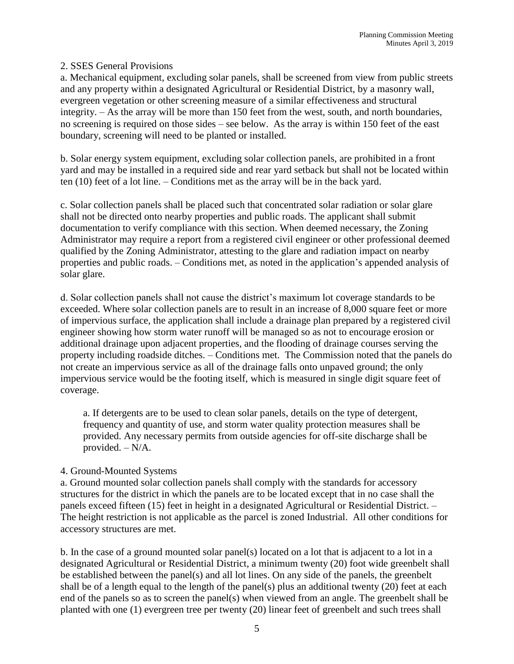### 2. SSES General Provisions

a. Mechanical equipment, excluding solar panels, shall be screened from view from public streets and any property within a designated Agricultural or Residential District, by a masonry wall, evergreen vegetation or other screening measure of a similar effectiveness and structural integrity. – As the array will be more than 150 feet from the west, south, and north boundaries, no screening is required on those sides – see below. As the array is within 150 feet of the east boundary, screening will need to be planted or installed.

b. Solar energy system equipment, excluding solar collection panels, are prohibited in a front yard and may be installed in a required side and rear yard setback but shall not be located within ten (10) feet of a lot line. – Conditions met as the array will be in the back yard.

c. Solar collection panels shall be placed such that concentrated solar radiation or solar glare shall not be directed onto nearby properties and public roads. The applicant shall submit documentation to verify compliance with this section. When deemed necessary, the Zoning Administrator may require a report from a registered civil engineer or other professional deemed qualified by the Zoning Administrator, attesting to the glare and radiation impact on nearby properties and public roads. – Conditions met, as noted in the application's appended analysis of solar glare.

d. Solar collection panels shall not cause the district's maximum lot coverage standards to be exceeded. Where solar collection panels are to result in an increase of 8,000 square feet or more of impervious surface, the application shall include a drainage plan prepared by a registered civil engineer showing how storm water runoff will be managed so as not to encourage erosion or additional drainage upon adjacent properties, and the flooding of drainage courses serving the property including roadside ditches. – Conditions met. The Commission noted that the panels do not create an impervious service as all of the drainage falls onto unpaved ground; the only impervious service would be the footing itself, which is measured in single digit square feet of coverage.

a. If detergents are to be used to clean solar panels, details on the type of detergent, frequency and quantity of use, and storm water quality protection measures shall be provided. Any necessary permits from outside agencies for off-site discharge shall be provided. – N/A.

## 4. Ground-Mounted Systems

a. Ground mounted solar collection panels shall comply with the standards for accessory structures for the district in which the panels are to be located except that in no case shall the panels exceed fifteen (15) feet in height in a designated Agricultural or Residential District. – The height restriction is not applicable as the parcel is zoned Industrial. All other conditions for accessory structures are met.

b. In the case of a ground mounted solar panel(s) located on a lot that is adjacent to a lot in a designated Agricultural or Residential District, a minimum twenty (20) foot wide greenbelt shall be established between the panel(s) and all lot lines. On any side of the panels, the greenbelt shall be of a length equal to the length of the panel(s) plus an additional twenty (20) feet at each end of the panels so as to screen the panel(s) when viewed from an angle. The greenbelt shall be planted with one (1) evergreen tree per twenty (20) linear feet of greenbelt and such trees shall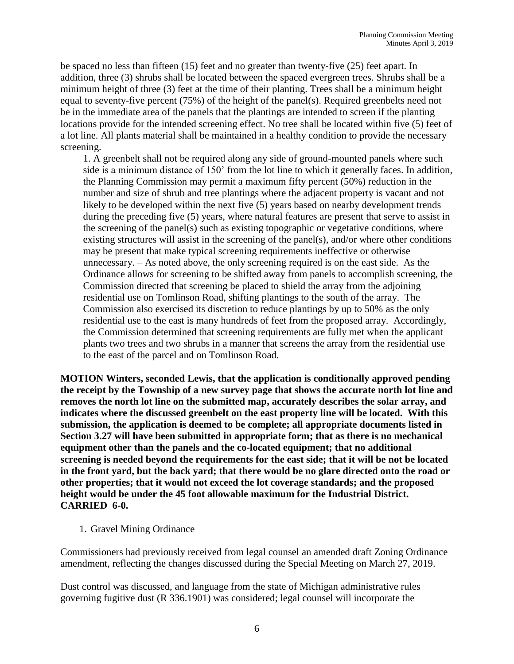be spaced no less than fifteen (15) feet and no greater than twenty-five (25) feet apart. In addition, three (3) shrubs shall be located between the spaced evergreen trees. Shrubs shall be a minimum height of three (3) feet at the time of their planting. Trees shall be a minimum height equal to seventy-five percent (75%) of the height of the panel(s). Required greenbelts need not be in the immediate area of the panels that the plantings are intended to screen if the planting locations provide for the intended screening effect. No tree shall be located within five (5) feet of a lot line. All plants material shall be maintained in a healthy condition to provide the necessary screening.

1. A greenbelt shall not be required along any side of ground-mounted panels where such side is a minimum distance of 150' from the lot line to which it generally faces. In addition, the Planning Commission may permit a maximum fifty percent (50%) reduction in the number and size of shrub and tree plantings where the adjacent property is vacant and not likely to be developed within the next five (5) years based on nearby development trends during the preceding five (5) years, where natural features are present that serve to assist in the screening of the panel(s) such as existing topographic or vegetative conditions, where existing structures will assist in the screening of the panel(s), and/or where other conditions may be present that make typical screening requirements ineffective or otherwise unnecessary. – As noted above, the only screening required is on the east side. As the Ordinance allows for screening to be shifted away from panels to accomplish screening, the Commission directed that screening be placed to shield the array from the adjoining residential use on Tomlinson Road, shifting plantings to the south of the array. The Commission also exercised its discretion to reduce plantings by up to 50% as the only residential use to the east is many hundreds of feet from the proposed array. Accordingly, the Commission determined that screening requirements are fully met when the applicant plants two trees and two shrubs in a manner that screens the array from the residential use to the east of the parcel and on Tomlinson Road.

**MOTION Winters, seconded Lewis, that the application is conditionally approved pending the receipt by the Township of a new survey page that shows the accurate north lot line and removes the north lot line on the submitted map, accurately describes the solar array, and indicates where the discussed greenbelt on the east property line will be located. With this submission, the application is deemed to be complete; all appropriate documents listed in Section 3.27 will have been submitted in appropriate form; that as there is no mechanical equipment other than the panels and the co-located equipment; that no additional screening is needed beyond the requirements for the east side; that it will be not be located in the front yard, but the back yard; that there would be no glare directed onto the road or other properties; that it would not exceed the lot coverage standards; and the proposed height would be under the 45 foot allowable maximum for the Industrial District. CARRIED 6-0.**

1. Gravel Mining Ordinance

Commissioners had previously received from legal counsel an amended draft Zoning Ordinance amendment, reflecting the changes discussed during the Special Meeting on March 27, 2019.

Dust control was discussed, and language from the state of Michigan administrative rules governing fugitive dust (R 336.1901) was considered; legal counsel will incorporate the